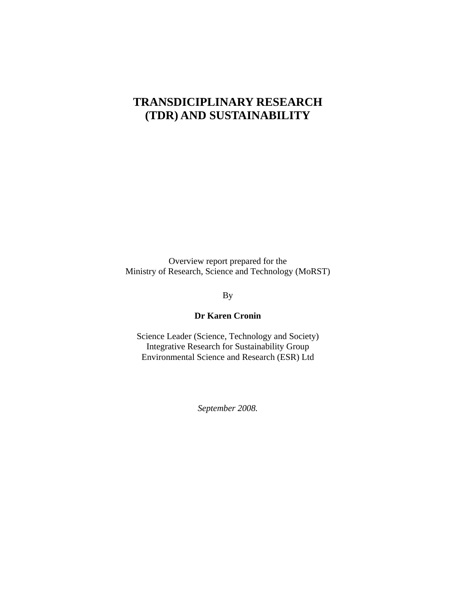# **TRANSDICIPLINARY RESEARCH (TDR) AND SUSTAINABILITY**

Overview report prepared for the Ministry of Research, Science and Technology (MoRST)

By

### **Dr Karen Cronin**

Science Leader (Science, Technology and Society) Integrative Research for Sustainability Group Environmental Science and Research (ESR) Ltd

*September 2008.*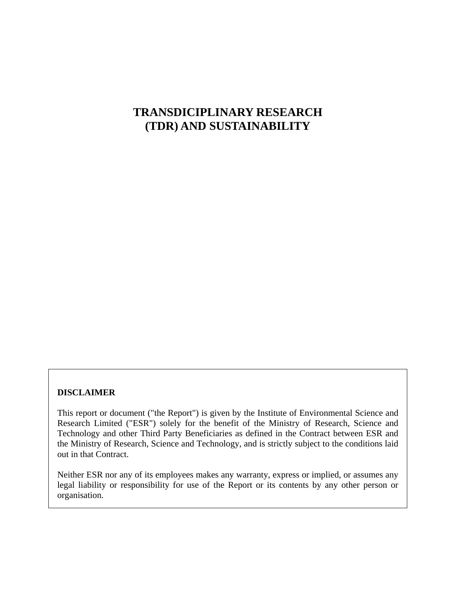# **TRANSDICIPLINARY RESEARCH (TDR) AND SUSTAINABILITY**

#### **DISCLAIMER**

This report or document ("the Report") is given by the Institute of Environmental Science and Research Limited ("ESR") solely for the benefit of the Ministry of Research, Science and Technology and other Third Party Beneficiaries as defined in the Contract between ESR and the Ministry of Research, Science and Technology, and is strictly subject to the conditions laid out in that Contract.

Neither ESR nor any of its employees makes any warranty, express or implied, or assumes any legal liability or responsibility for use of the Report or its contents by any other person or organisation.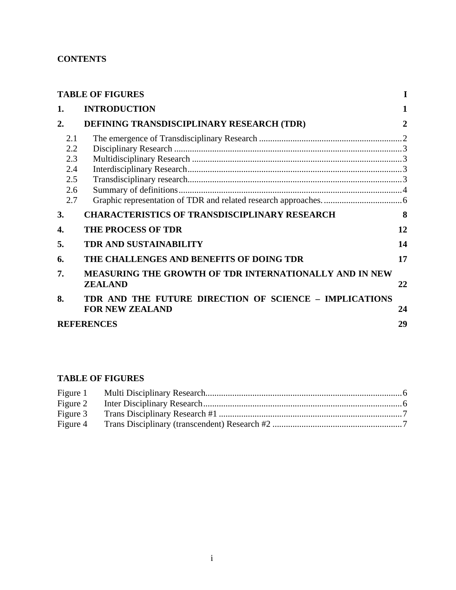# <span id="page-2-0"></span>**CONTENTS**

| <b>TABLE OF FIGURES</b>                       |                                                                                  | 1            |
|-----------------------------------------------|----------------------------------------------------------------------------------|--------------|
| 1.                                            | <b>INTRODUCTION</b>                                                              | 1            |
| $\overline{2}$ .                              | DEFINING TRANSDISCIPLINARY RESEARCH (TDR)                                        | $\mathbf{2}$ |
| 2.1<br>2.2<br>2.3<br>2.4<br>2.5<br>2.6<br>2.7 |                                                                                  |              |
| 3.                                            | <b>CHARACTERISTICS OF TRANSDISCIPLINARY RESEARCH</b>                             | 8            |
| 4.                                            | <b>THE PROCESS OF TDR</b>                                                        | 12           |
| 5.                                            | <b>TDR AND SUSTAINABILITY</b>                                                    | 14           |
| 6.                                            | THE CHALLENGES AND BENEFITS OF DOING TDR                                         | 17           |
| 7.                                            | MEASURING THE GROWTH OF TDR INTERNATIONALLY AND IN NEW<br><b>ZEALAND</b>         | 22           |
| 8.                                            | TDR AND THE FUTURE DIRECTION OF SCIENCE - IMPLICATIONS<br><b>FOR NEW ZEALAND</b> | 24           |
|                                               | <b>REFERENCES</b>                                                                | 29           |

# **TABLE OF FIGURES**

| Figure 2 |  |
|----------|--|
| Figure 3 |  |
| Figure 4 |  |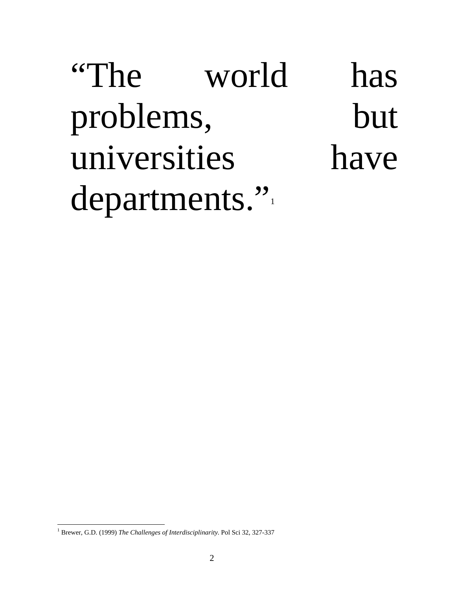"The world has problems, but universities have departments."

<span id="page-3-0"></span> $\overline{a}$ <sup>1</sup> Brewer, G.D. (1999) *The Challenges of Interdisciplinarity*. Pol Sci 32, 327-337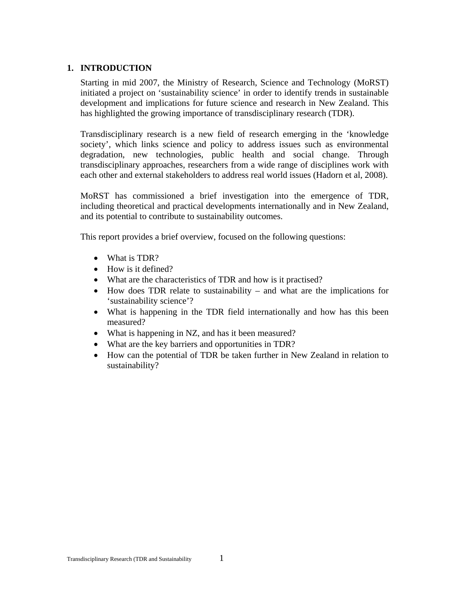### <span id="page-4-0"></span>**1. INTRODUCTION**

Starting in mid 2007, the Ministry of Research, Science and Technology (MoRST) initiated a project on 'sustainability science' in order to identify trends in sustainable development and implications for future science and research in New Zealand. This has highlighted the growing importance of transdisciplinary research (TDR).

Transdisciplinary research is a new field of research emerging in the 'knowledge society', which links science and policy to address issues such as environmental degradation, new technologies, public health and social change. Through transdisciplinary approaches, researchers from a wide range of disciplines work with each other and external stakeholders to address real world issues (Hadorn et al, 2008).

MoRST has commissioned a brief investigation into the emergence of TDR, including theoretical and practical developments internationally and in New Zealand, and its potential to contribute to sustainability outcomes.

This report provides a brief overview, focused on the following questions:

- What is TDR?
- How is it defined?
- What are the characteristics of TDR and how is it practised?
- How does TDR relate to sustainability and what are the implications for 'sustainability science'?
- What is happening in the TDR field internationally and how has this been measured?
- What is happening in NZ, and has it been measured?
- What are the key barriers and opportunities in TDR?
- How can the potential of TDR be taken further in New Zealand in relation to sustainability?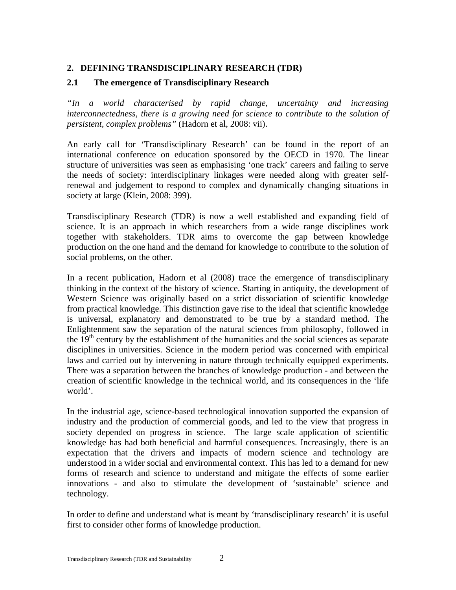# <span id="page-5-0"></span>**2. DEFINING TRANSDISCIPLINARY RESEARCH (TDR)**

### **2.1 The emergence of Transdisciplinary Research**

*"In a world characterised by rapid change, uncertainty and increasing interconnectedness, there is a growing need for science to contribute to the solution of persistent, complex problems"* (Hadorn et al, 2008: vii).

An early call for 'Transdisciplinary Research' can be found in the report of an international conference on education sponsored by the OECD in 1970. The linear structure of universities was seen as emphasising 'one track' careers and failing to serve the needs of society: interdisciplinary linkages were needed along with greater selfrenewal and judgement to respond to complex and dynamically changing situations in society at large (Klein, 2008: 399).

Transdisciplinary Research (TDR) is now a well established and expanding field of science. It is an approach in which researchers from a wide range disciplines work together with stakeholders. TDR aims to overcome the gap between knowledge production on the one hand and the demand for knowledge to contribute to the solution of social problems, on the other.

In a recent publication, Hadorn et al (2008) trace the emergence of transdisciplinary thinking in the context of the history of science. Starting in antiquity, the development of Western Science was originally based on a strict dissociation of scientific knowledge from practical knowledge. This distinction gave rise to the ideal that scientific knowledge is universal, explanatory and demonstrated to be true by a standard method. The Enlightenment saw the separation of the natural sciences from philosophy, followed in the  $19<sup>th</sup>$  century by the establishment of the humanities and the social sciences as separate disciplines in universities. Science in the modern period was concerned with empirical laws and carried out by intervening in nature through technically equipped experiments. There was a separation between the branches of knowledge production - and between the creation of scientific knowledge in the technical world, and its consequences in the 'life world'.

In the industrial age, science-based technological innovation supported the expansion of industry and the production of commercial goods, and led to the view that progress in society depended on progress in science. The large scale application of scientific knowledge has had both beneficial and harmful consequences. Increasingly, there is an expectation that the drivers and impacts of modern science and technology are understood in a wider social and environmental context. This has led to a demand for new forms of research and science to understand and mitigate the effects of some earlier innovations - and also to stimulate the development of 'sustainable' science and technology.

In order to define and understand what is meant by 'transdisciplinary research' it is useful first to consider other forms of knowledge production.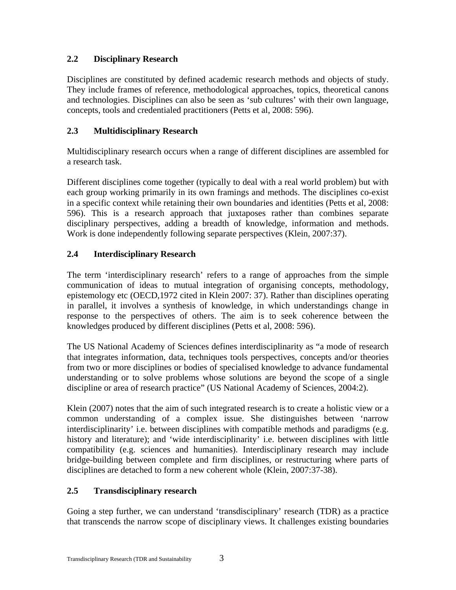# <span id="page-6-0"></span>**2.2 Disciplinary Research**

Disciplines are constituted by defined academic research methods and objects of study. They include frames of reference, methodological approaches, topics, theoretical canons and technologies. Disciplines can also be seen as 'sub cultures' with their own language, concepts, tools and credentialed practitioners (Petts et al, 2008: 596).

# **2.3 Multidisciplinary Research**

Multidisciplinary research occurs when a range of different disciplines are assembled for a research task.

Different disciplines come together (typically to deal with a real world problem) but with each group working primarily in its own framings and methods. The disciplines co-exist in a specific context while retaining their own boundaries and identities (Petts et al, 2008: 596). This is a research approach that juxtaposes rather than combines separate disciplinary perspectives, adding a breadth of knowledge, information and methods. Work is done independently following separate perspectives (Klein, 2007:37).

# **2.4 Interdisciplinary Research**

The term 'interdisciplinary research' refers to a range of approaches from the simple communication of ideas to mutual integration of organising concepts, methodology, epistemology etc (OECD,1972 cited in Klein 2007: 37). Rather than disciplines operating in parallel, it involves a synthesis of knowledge, in which understandings change in response to the perspectives of others. The aim is to seek coherence between the knowledges produced by different disciplines (Petts et al, 2008: 596).

The US National Academy of Sciences defines interdisciplinarity as "a mode of research that integrates information, data, techniques tools perspectives, concepts and/or theories from two or more disciplines or bodies of specialised knowledge to advance fundamental understanding or to solve problems whose solutions are beyond the scope of a single discipline or area of research practice" (US National Academy of Sciences, 2004:2).

Klein (2007) notes that the aim of such integrated research is to create a holistic view or a common understanding of a complex issue. She distinguishes between 'narrow interdisciplinarity' i.e. between disciplines with compatible methods and paradigms (e.g. history and literature); and 'wide interdisciplinarity' i.e. between disciplines with little compatibility (e.g. sciences and humanities). Interdisciplinary research may include bridge-building between complete and firm disciplines, or restructuring where parts of disciplines are detached to form a new coherent whole (Klein, 2007:37-38).

# **2.5 Transdisciplinary research**

Going a step further, we can understand 'transdisciplinary' research (TDR) as a practice that transcends the narrow scope of disciplinary views. It challenges existing boundaries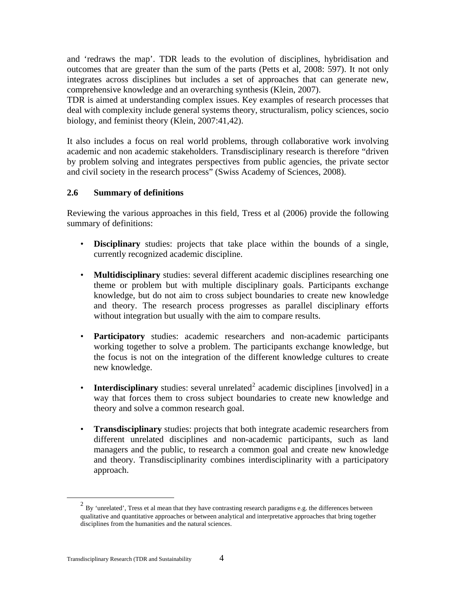<span id="page-7-0"></span>and 'redraws the map'. TDR leads to the evolution of disciplines, hybridisation and outcomes that are greater than the sum of the parts (Petts et al, 2008: 597). It not only integrates across disciplines but includes a set of approaches that can generate new, comprehensive knowledge and an overarching synthesis (Klein, 2007).

TDR is aimed at understanding complex issues. Key examples of research processes that deal with complexity include general systems theory, structuralism, policy sciences, socio biology, and feminist theory (Klein, 2007:41,42).

It also includes a focus on real world problems, through collaborative work involving academic and non academic stakeholders. Transdisciplinary research is therefore "driven by problem solving and integrates perspectives from public agencies, the private sector and civil society in the research process" (Swiss Academy of Sciences, 2008).

# **2.6 Summary of definitions**

Reviewing the various approaches in this field, Tress et al (2006) provide the following summary of definitions:

- **Disciplinary** studies: projects that take place within the bounds of a single, currently recognized academic discipline.
- **Multidisciplinary** studies: several different academic disciplines researching one theme or problem but with multiple disciplinary goals. Participants exchange knowledge, but do not aim to cross subject boundaries to create new knowledge and theory. The research process progresses as parallel disciplinary efforts without integration but usually with the aim to compare results.
- **Participatory** studies: academic researchers and non-academic participants working together to solve a problem. The participants exchange knowledge, but the focus is not on the integration of the different knowledge cultures to create new knowledge.
- **Interdisciplinary** studies: several unrelated<sup>[2](#page-7-1)</sup> academic disciplines [involved] in a way that forces them to cross subject boundaries to create new knowledge and theory and solve a common research goal.
- **Transdisciplinary** studies: projects that both integrate academic researchers from different unrelated disciplines and non-academic participants, such as land managers and the public, to research a common goal and create new knowledge and theory. Transdisciplinarity combines interdisciplinarity with a participatory approach.

<span id="page-7-1"></span><sup>&</sup>lt;sup>2</sup> Bv 'unrelated'. Tress et al mean that they have contrasting research paradigms e.g. the differences between qualitative and quantitative approaches or between analytical and interpretative approaches that bring together disciplines from the humanities and the natural sciences.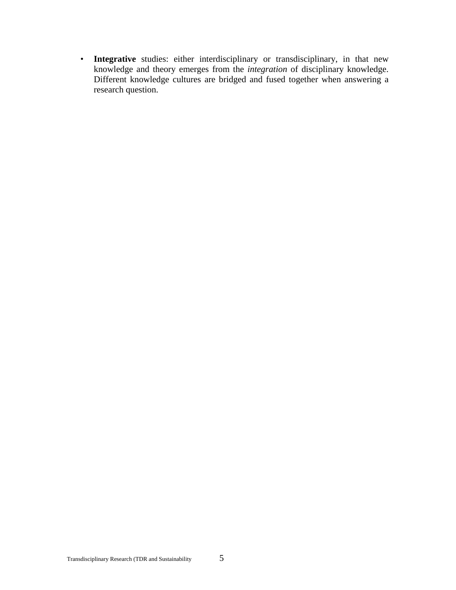• **Integrative** studies: either interdisciplinary or transdisciplinary, in that new knowledge and theory emerges from the *integration* of disciplinary knowledge. Different knowledge cultures are bridged and fused together when answering a research question.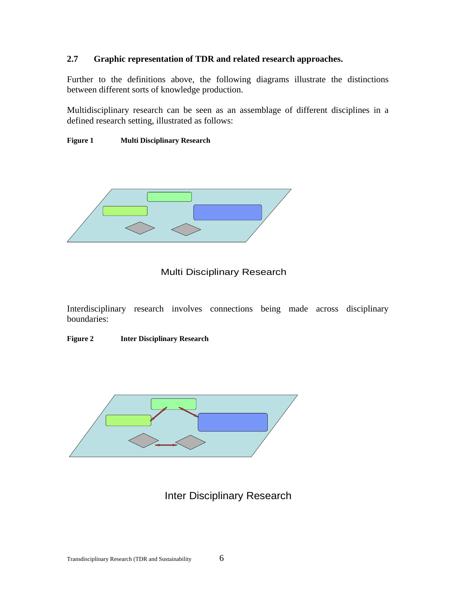### <span id="page-9-0"></span>**2.7 Graphic representation of TDR and related research approaches.**

Further to the definitions above, the following diagrams illustrate the distinctions between different sorts of knowledge production.

Multidisciplinary research can be seen as an assemblage of different disciplines in a defined research setting, illustrated as follows:

#### **Figure 1 Multi Disciplinary Research**



### Multi Disciplinary Research

Interdisciplinary research involves connections being made across disciplinary boundaries:

#### **Figure 2 Inter Disciplinary Research**



# Inter Disciplinary Research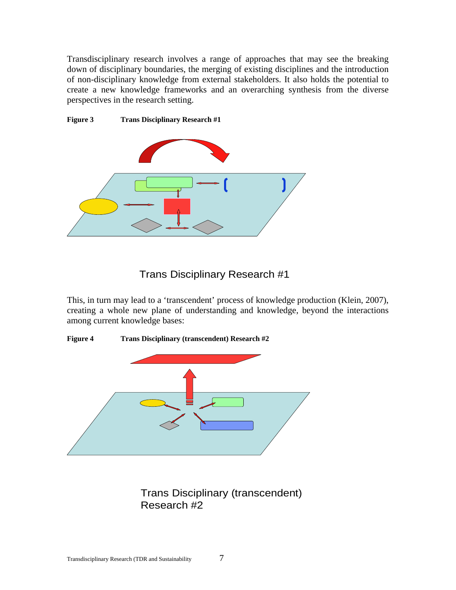<span id="page-10-0"></span>Transdisciplinary research involves a range of approaches that may see the breaking down of disciplinary boundaries, the merging of existing disciplines and the introduction of non-disciplinary knowledge from external stakeholders. It also holds the potential to create a new knowledge frameworks and an overarching synthesis from the diverse perspectives in the research setting.



# Trans Disciplinary Research #1

This, in turn may lead to a 'transcendent' process of knowledge production (Klein, 2007), creating a whole new plane of understanding and knowledge, beyond the interactions among current knowledge bases:





# Trans Disciplinary (transcendent) Research #2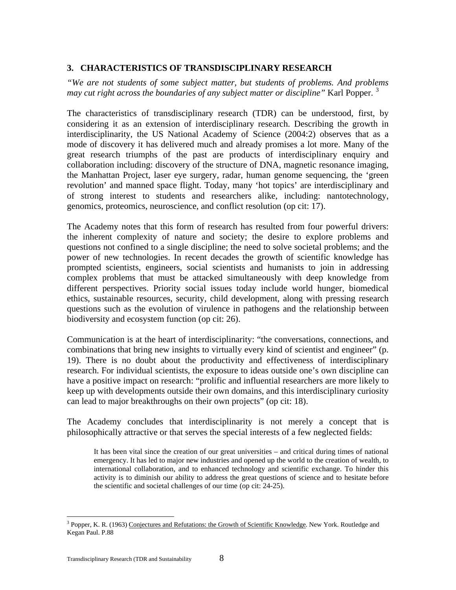## <span id="page-11-0"></span>**3. CHARACTERISTICS OF TRANSDISCIPLINARY RESEARCH**

*"We are not students of some subject matter, but students of problems. And problems may cut right across the boundaries of any subject matter or discipline*" Karl Popper.<sup>[3](#page-11-1)</sup>

The characteristics of transdisciplinary research (TDR) can be understood, first, by considering it as an extension of interdisciplinary research. Describing the growth in interdisciplinarity, the US National Academy of Science (2004:2) observes that as a mode of discovery it has delivered much and already promises a lot more. Many of the great research triumphs of the past are products of interdisciplinary enquiry and collaboration including: discovery of the structure of DNA, magnetic resonance imaging, the Manhattan Project, laser eye surgery, radar, human genome sequencing, the 'green revolution' and manned space flight. Today, many 'hot topics' are interdisciplinary and of strong interest to students and researchers alike, including: nantotechnology, genomics, proteomics, neuroscience, and conflict resolution (op cit: 17).

The Academy notes that this form of research has resulted from four powerful drivers: the inherent complexity of nature and society; the desire to explore problems and questions not confined to a single discipline; the need to solve societal problems; and the power of new technologies. In recent decades the growth of scientific knowledge has prompted scientists, engineers, social scientists and humanists to join in addressing complex problems that must be attacked simultaneously with deep knowledge from different perspectives. Priority social issues today include world hunger, biomedical ethics, sustainable resources, security, child development, along with pressing research questions such as the evolution of virulence in pathogens and the relationship between biodiversity and ecosystem function (op cit: 26).

Communication is at the heart of interdisciplinarity: "the conversations, connections, and combinations that bring new insights to virtually every kind of scientist and engineer" (p. 19). There is no doubt about the productivity and effectiveness of interdisciplinary research. For individual scientists, the exposure to ideas outside one's own discipline can have a positive impact on research: "prolific and influential researchers are more likely to keep up with developments outside their own domains, and this interdisciplinary curiosity can lead to major breakthroughs on their own projects" (op cit: 18).

The Academy concludes that interdisciplinarity is not merely a concept that is philosophically attractive or that serves the special interests of a few neglected fields:

It has been vital since the creation of our great universities – and critical during times of national emergency. It has led to major new industries and opened up the world to the creation of wealth, to international collaboration, and to enhanced technology and scientific exchange. To hinder this activity is to diminish our ability to address the great questions of science and to hesitate before the scientific and societal challenges of our time (op cit: 24-25).

<span id="page-11-1"></span><sup>&</sup>lt;sup>3</sup> Popper, K. R. (1963) Conjectures and Refutations: the Growth of Scientific Knowledge. New York. Routledge and Kegan Paul. P.88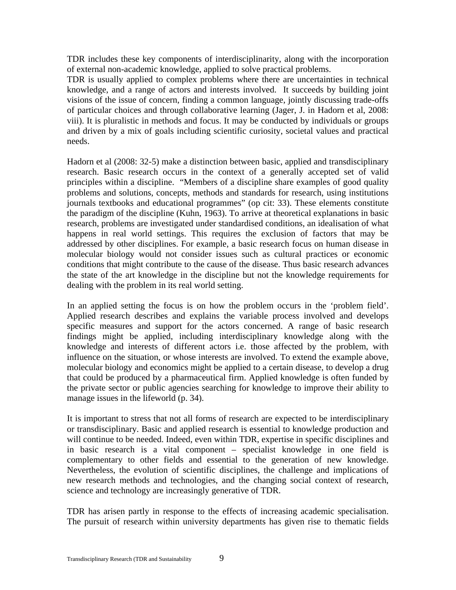TDR includes these key components of interdisciplinarity, along with the incorporation of external non-academic knowledge, applied to solve practical problems.

TDR is usually applied to complex problems where there are uncertainties in technical knowledge, and a range of actors and interests involved. It succeeds by building joint visions of the issue of concern, finding a common language, jointly discussing trade-offs of particular choices and through collaborative learning (Jager, J. in Hadorn et al, 2008: viii). It is pluralistic in methods and focus. It may be conducted by individuals or groups and driven by a mix of goals including scientific curiosity, societal values and practical needs.

Hadorn et al (2008: 32-5) make a distinction between basic, applied and transdisciplinary research. Basic research occurs in the context of a generally accepted set of valid principles within a discipline. "Members of a discipline share examples of good quality problems and solutions, concepts, methods and standards for research, using institutions journals textbooks and educational programmes" (op cit: 33). These elements constitute the paradigm of the discipline (Kuhn, 1963). To arrive at theoretical explanations in basic research, problems are investigated under standardised conditions, an idealisation of what happens in real world settings. This requires the exclusion of factors that may be addressed by other disciplines. For example, a basic research focus on human disease in molecular biology would not consider issues such as cultural practices or economic conditions that might contribute to the cause of the disease. Thus basic research advances the state of the art knowledge in the discipline but not the knowledge requirements for dealing with the problem in its real world setting.

In an applied setting the focus is on how the problem occurs in the 'problem field'. Applied research describes and explains the variable process involved and develops specific measures and support for the actors concerned. A range of basic research findings might be applied, including interdisciplinary knowledge along with the knowledge and interests of different actors i.e. those affected by the problem, with influence on the situation, or whose interests are involved. To extend the example above, molecular biology and economics might be applied to a certain disease, to develop a drug that could be produced by a pharmaceutical firm. Applied knowledge is often funded by the private sector or public agencies searching for knowledge to improve their ability to manage issues in the lifeworld (p. 34).

It is important to stress that not all forms of research are expected to be interdisciplinary or transdisciplinary. Basic and applied research is essential to knowledge production and will continue to be needed. Indeed, even within TDR, expertise in specific disciplines and in basic research is a vital component – specialist knowledge in one field is complementary to other fields and essential to the generation of new knowledge. Nevertheless, the evolution of scientific disciplines, the challenge and implications of new research methods and technologies, and the changing social context of research, science and technology are increasingly generative of TDR.

TDR has arisen partly in response to the effects of increasing academic specialisation. The pursuit of research within university departments has given rise to thematic fields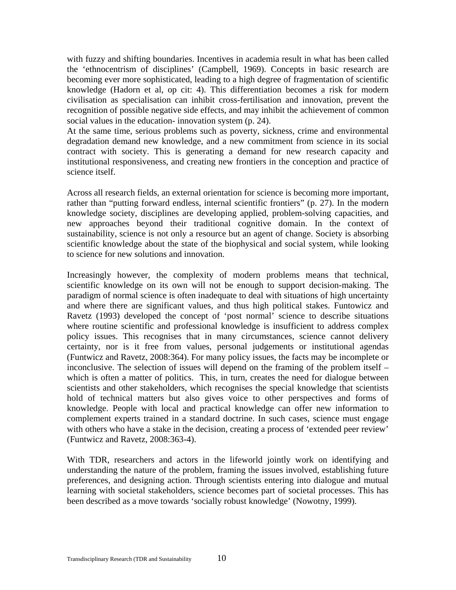with fuzzy and shifting boundaries. Incentives in academia result in what has been called the 'ethnocentrism of disciplines' (Campbell, 1969). Concepts in basic research are becoming ever more sophisticated, leading to a high degree of fragmentation of scientific knowledge (Hadorn et al, op cit: 4). This differentiation becomes a risk for modern civilisation as specialisation can inhibit cross-fertilisation and innovation, prevent the recognition of possible negative side effects, and may inhibit the achievement of common social values in the education- innovation system (p. 24).

At the same time, serious problems such as poverty, sickness, crime and environmental degradation demand new knowledge, and a new commitment from science in its social contract with society. This is generating a demand for new research capacity and institutional responsiveness, and creating new frontiers in the conception and practice of science itself.

Across all research fields, an external orientation for science is becoming more important, rather than "putting forward endless, internal scientific frontiers" (p. 27). In the modern knowledge society, disciplines are developing applied, problem-solving capacities, and new approaches beyond their traditional cognitive domain. In the context of sustainability, science is not only a resource but an agent of change. Society is absorbing scientific knowledge about the state of the biophysical and social system, while looking to science for new solutions and innovation.

Increasingly however, the complexity of modern problems means that technical, scientific knowledge on its own will not be enough to support decision-making. The paradigm of normal science is often inadequate to deal with situations of high uncertainty and where there are significant values, and thus high political stakes. Funtowicz and Ravetz (1993) developed the concept of 'post normal' science to describe situations where routine scientific and professional knowledge is insufficient to address complex policy issues. This recognises that in many circumstances, science cannot delivery certainty, nor is it free from values, personal judgements or institutional agendas (Funtwicz and Ravetz, 2008:364). For many policy issues, the facts may be incomplete or inconclusive. The selection of issues will depend on the framing of the problem itself – which is often a matter of politics. This, in turn, creates the need for dialogue between scientists and other stakeholders, which recognises the special knowledge that scientists hold of technical matters but also gives voice to other perspectives and forms of knowledge. People with local and practical knowledge can offer new information to complement experts trained in a standard doctrine. In such cases, science must engage with others who have a stake in the decision, creating a process of 'extended peer review' (Funtwicz and Ravetz, 2008:363-4).

With TDR, researchers and actors in the lifeworld jointly work on identifying and understanding the nature of the problem, framing the issues involved, establishing future preferences, and designing action. Through scientists entering into dialogue and mutual learning with societal stakeholders, science becomes part of societal processes. This has been described as a move towards 'socially robust knowledge' (Nowotny, 1999).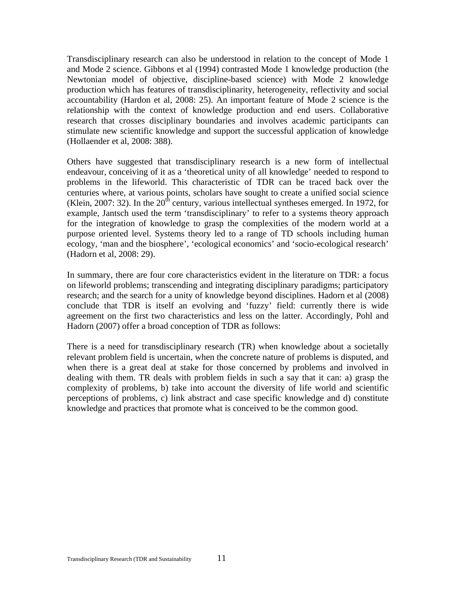Transdisciplinary research can also be understood in relation to the concept of Mode 1 and Mode 2 science. Gibbons et al (1994) contrasted Mode 1 knowledge production (the Newtonian model of objective, discipline-based science) with Mode 2 knowledge production which has features of transdisciplinarity, heterogeneity, reflectivity and social accountability (Hardon et al, 2008: 25). An important feature of Mode 2 science is the relationship with the context of knowledge production and end users. Collaborative research that crosses disciplinary boundaries and involves academic participants can stimulate new scientific knowledge and support the successful application of knowledge (Hollaender et al, 2008: 388).

Others have suggested that transdisciplinary research is a new form of intellectual endeavour, conceiving of it as a 'theoretical unity of all knowledge' needed to respond to problems in the lifeworld. This characteristic of TDR can be traced back over the centuries where, at various points, scholars have sought to create a unified social science (Klein, 2007: 32). In the  $20<sup>th</sup>$  century, various intellectual syntheses emerged. In 1972, for example, Jantsch used the term 'transdisciplinary' to refer to a systems theory approach for the integration of knowledge to grasp the complexities of the modern world at a purpose oriented level. Systems theory led to a range of TD schools including human ecology, 'man and the biosphere', 'ecological economics' and 'socio-ecological research' (Hadorn et al, 2008: 29).

In summary, there are four core characteristics evident in the literature on TDR: a focus on lifeworld problems; transcending and integrating disciplinary paradigms; participatory research; and the search for a unity of knowledge beyond disciplines. Hadorn et al (2008) conclude that TDR is itself an evolving and 'fuzzy' field: currently there is wide agreement on the first two characteristics and less on the latter. Accordingly, Pohl and Hadorn (2007) offer a broad conception of TDR as follows:

There is a need for transdisciplinary research (TR) when knowledge about a societally relevant problem field is uncertain, when the concrete nature of problems is disputed, and when there is a great deal at stake for those concerned by problems and involved in dealing with them. TR deals with problem fields in such a say that it can: a) grasp the complexity of problems, b) take into account the diversity of life world and scientific perceptions of problems, c) link abstract and case specific knowledge and d) constitute knowledge and practices that promote what is conceived to be the common good.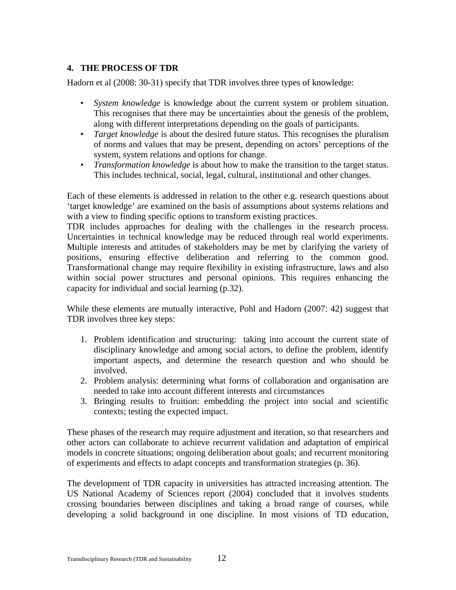# <span id="page-15-0"></span>**4. THE PROCESS OF TDR**

Hadorn et al (2008: 30-31) specify that TDR involves three types of knowledge:

- *System knowledge* is knowledge about the current system or problem situation. This recognises that there may be uncertainties about the genesis of the problem, along with different interpretations depending on the goals of participants.
- *Target knowledge* is about the desired future status. This recognises the pluralism of norms and values that may be present, depending on actors' perceptions of the system, system relations and options for change.
- *Transformation knowledge* is about how to make the transition to the target status. This includes technical, social, legal, cultural, institutional and other changes.

Each of these elements is addressed in relation to the other e.g. research questions about 'target knowledge' are examined on the basis of assumptions about systems relations and with a view to finding specific options to transform existing practices.

TDR includes approaches for dealing with the challenges in the research process. Uncertainties in technical knowledge may be reduced through real world experiments. Multiple interests and attitudes of stakeholders may be met by clarifying the variety of positions, ensuring effective deliberation and referring to the common good. Transformational change may require flexibility in existing infrastructure, laws and also within social power structures and personal opinions. This requires enhancing the capacity for individual and social learning (p.32).

While these elements are mutually interactive, Pohl and Hadorn (2007: 42) suggest that TDR involves three key steps:

- 1. Problem identification and structuring: taking into account the current state of disciplinary knowledge and among social actors, to define the problem, identify important aspects, and determine the research question and who should be involved.
- 2. Problem analysis: determining what forms of collaboration and organisation are needed to take into account different interests and circumstances
- 3. Bringing results to fruition: embedding the project into social and scientific contexts; testing the expected impact.

These phases of the research may require adjustment and iteration, so that researchers and other actors can collaborate to achieve recurrent validation and adaptation of empirical models in concrete situations; ongoing deliberation about goals; and recurrent monitoring of experiments and effects to adapt concepts and transformation strategies (p. 36).

The development of TDR capacity in universities has attracted increasing attention. The US National Academy of Sciences report (2004) concluded that it involves students crossing boundaries between disciplines and taking a broad range of courses, while developing a solid background in one discipline. In most visions of TD education,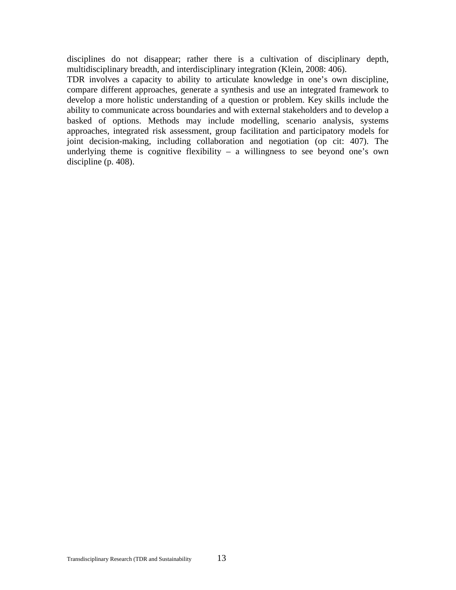disciplines do not disappear; rather there is a cultivation of disciplinary depth, multidisciplinary breadth, and interdisciplinary integration (Klein, 2008: 406).

TDR involves a capacity to ability to articulate knowledge in one's own discipline, compare different approaches, generate a synthesis and use an integrated framework to develop a more holistic understanding of a question or problem. Key skills include the ability to communicate across boundaries and with external stakeholders and to develop a basked of options. Methods may include modelling, scenario analysis, systems approaches, integrated risk assessment, group facilitation and participatory models for joint decision-making, including collaboration and negotiation (op cit: 407). The underlying theme is cognitive flexibility – a willingness to see beyond one's own discipline (p. 408).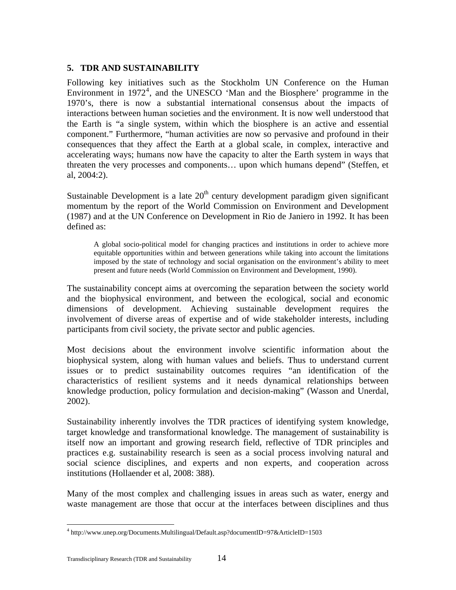# <span id="page-17-0"></span>**5. TDR AND SUSTAINABILITY**

Following key initiatives such as the Stockholm UN Conference on the Human Environment in  $1972<sup>4</sup>$  $1972<sup>4</sup>$  $1972<sup>4</sup>$ , and the UNESCO 'Man and the Biosphere' programme in the 1970's, there is now a substantial international consensus about the impacts of interactions between human societies and the environment. It is now well understood that the Earth is "a single system, within which the biosphere is an active and essential component." Furthermore, "human activities are now so pervasive and profound in their consequences that they affect the Earth at a global scale, in complex, interactive and accelerating ways; humans now have the capacity to alter the Earth system in ways that threaten the very processes and components… upon which humans depend" (Steffen, et al, 2004:2).

Sustainable Development is a late  $20<sup>th</sup>$  century development paradigm given significant momentum by the report of the World Commission on Environment and Development (1987) and at the UN Conference on Development in Rio de Janiero in 1992. It has been defined as:

A global socio-political model for changing practices and institutions in order to achieve more equitable opportunities within and between generations while taking into account the limitations imposed by the state of technology and social organisation on the environment's ability to meet present and future needs (World Commission on Environment and Development, 1990).

The sustainability concept aims at overcoming the separation between the society world and the biophysical environment, and between the ecological, social and economic dimensions of development. Achieving sustainable development requires the involvement of diverse areas of expertise and of wide stakeholder interests, including participants from civil society, the private sector and public agencies.

Most decisions about the environment involve scientific information about the biophysical system, along with human values and beliefs. Thus to understand current issues or to predict sustainability outcomes requires "an identification of the characteristics of resilient systems and it needs dynamical relationships between knowledge production, policy formulation and decision-making" (Wasson and Unerdal, 2002).

Sustainability inherently involves the TDR practices of identifying system knowledge, target knowledge and transformational knowledge. The management of sustainability is itself now an important and growing research field, reflective of TDR principles and practices e.g. sustainability research is seen as a social process involving natural and social science disciplines, and experts and non experts, and cooperation across institutions (Hollaender et al, 2008: 388).

Many of the most complex and challenging issues in areas such as water, energy and waste management are those that occur at the interfaces between disciplines and thus

<span id="page-17-1"></span><sup>4</sup> http://www.unep.org/Documents.Multilingual/Default.asp?documentID=97&ArticleID=1503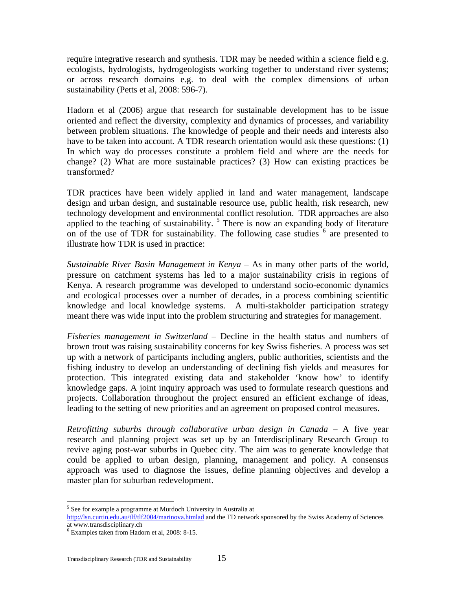require integrative research and synthesis. TDR may be needed within a science field e.g. ecologists, hydrologists, hydrogeologists working together to understand river systems; or across research domains e.g. to deal with the complex dimensions of urban sustainability (Petts et al, 2008: 596-7).

Hadorn et al (2006) argue that research for sustainable development has to be issue oriented and reflect the diversity, complexity and dynamics of processes, and variability between problem situations. The knowledge of people and their needs and interests also have to be taken into account. A TDR research orientation would ask these questions: (1) In which way do processes constitute a problem field and where are the needs for change? (2) What are more sustainable practices? (3) How can existing practices be transformed?

TDR practices have been widely applied in land and water management, landscape design and urban design, and sustainable resource use, public health, risk research, new technology development and environmental conflict resolution. TDR approaches are also applied to the teaching of sustainability.  $5$  There is now an expanding body of literature on of the use of TDR for sustainability. The following case studies  $6 \text{ are presented to}$  $6 \text{ are presented to}$ illustrate how TDR is used in practice:

*Sustainable River Basin Management in Kenya* – As in many other parts of the world, pressure on catchment systems has led to a major sustainability crisis in regions of Kenya. A research programme was developed to understand socio-economic dynamics and ecological processes over a number of decades, in a process combining scientific knowledge and local knowledge systems. A multi-stakholder participation strategy meant there was wide input into the problem structuring and strategies for management.

*Fisheries management in Switzerland* – Decline in the health status and numbers of brown trout was raising sustainability concerns for key Swiss fisheries. A process was set up with a network of participants including anglers, public authorities, scientists and the fishing industry to develop an understanding of declining fish yields and measures for protection. This integrated existing data and stakeholder 'know how' to identify knowledge gaps. A joint inquiry approach was used to formulate research questions and projects. Collaboration throughout the project ensured an efficient exchange of ideas, leading to the setting of new priorities and an agreement on proposed control measures.

*Retrofitting suburbs through collaborative urban design in Canada* – A five year research and planning project was set up by an Interdisciplinary Research Group to revive aging post-war suburbs in Quebec city. The aim was to generate knowledge that could be applied to urban design, planning, management and policy. A consensus approach was used to diagnose the issues, define planning objectives and develop a master plan for suburban redevelopment.

<span id="page-18-0"></span><sup>&</sup>lt;sup>5</sup> See for example a programme at Murdoch University in Australia at <http://lsn.curtin.edu.au/tlf/tlf2004/marinova.htmlad> and the TD network sponsored by the Swiss Academy of Sciences at www.transdisciplinary.ch <sup>6</sup>

<span id="page-18-1"></span>Examples taken from Hadorn et al, 2008: 8-15.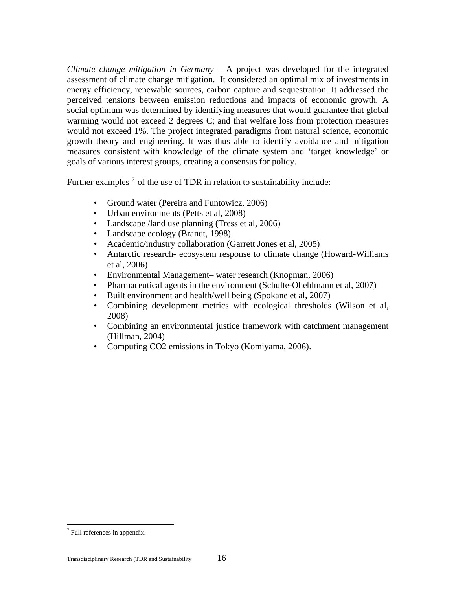*Climate change mitigation in Germany* – A project was developed for the integrated assessment of climate change mitigation. It considered an optimal mix of investments in energy efficiency, renewable sources, carbon capture and sequestration. It addressed the perceived tensions between emission reductions and impacts of economic growth. A social optimum was determined by identifying measures that would guarantee that global warming would not exceed 2 degrees C; and that welfare loss from protection measures would not exceed 1%. The project integrated paradigms from natural science, economic growth theory and engineering. It was thus able to identify avoidance and mitigation measures consistent with knowledge of the climate system and 'target knowledge' or goals of various interest groups, creating a consensus for policy.

Further examples<sup>[7](#page-19-0)</sup> of the use of TDR in relation to sustainability include:

- Ground water (Pereira and Funtowicz, 2006)
- Urban environments (Petts et al, 2008)
- Landscape /land use planning (Tress et al, 2006)
- Landscape ecology (Brandt, 1998)
- Academic/industry collaboration (Garrett Jones et al, 2005)
- Antarctic research- ecosystem response to climate change (Howard-Williams) et al, 2006)
- Environmental Management– water research (Knopman, 2006)
- Pharmaceutical agents in the environment (Schulte-Ohehlmann et al, 2007)
- Built environment and health/well being (Spokane et al, 2007)
- Combining development metrics with ecological thresholds (Wilson et al, 2008)
- Combining an environmental justice framework with catchment management (Hillman, 2004)
- Computing CO2 emissions in Tokyo (Komiyama, 2006).

<span id="page-19-0"></span> $7$  Full references in appendix.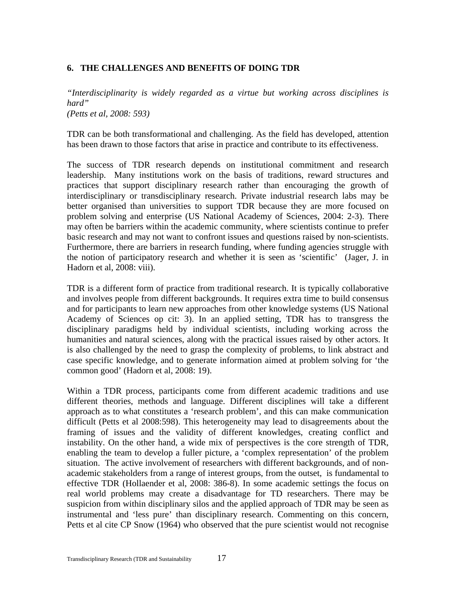### <span id="page-20-0"></span>**6. THE CHALLENGES AND BENEFITS OF DOING TDR**

*"Interdisciplinarity is widely regarded as a virtue but working across disciplines is hard" (Petts et al, 2008: 593)* 

TDR can be both transformational and challenging. As the field has developed, attention has been drawn to those factors that arise in practice and contribute to its effectiveness.

The success of TDR research depends on institutional commitment and research leadership. Many institutions work on the basis of traditions, reward structures and practices that support disciplinary research rather than encouraging the growth of interdisciplinary or transdisciplinary research. Private industrial research labs may be better organised than universities to support TDR because they are more focused on problem solving and enterprise (US National Academy of Sciences, 2004: 2-3). There may often be barriers within the academic community, where scientists continue to prefer basic research and may not want to confront issues and questions raised by non-scientists. Furthermore, there are barriers in research funding, where funding agencies struggle with the notion of participatory research and whether it is seen as 'scientific' (Jager, J. in Hadorn et al, 2008: viii).

TDR is a different form of practice from traditional research. It is typically collaborative and involves people from different backgrounds. It requires extra time to build consensus and for participants to learn new approaches from other knowledge systems (US National Academy of Sciences op cit: 3). In an applied setting, TDR has to transgress the disciplinary paradigms held by individual scientists, including working across the humanities and natural sciences, along with the practical issues raised by other actors. It is also challenged by the need to grasp the complexity of problems, to link abstract and case specific knowledge, and to generate information aimed at problem solving for 'the common good' (Hadorn et al, 2008: 19).

Within a TDR process, participants come from different academic traditions and use different theories, methods and language. Different disciplines will take a different approach as to what constitutes a 'research problem', and this can make communication difficult (Petts et al 2008:598). This heterogeneity may lead to disagreements about the framing of issues and the validity of different knowledges, creating conflict and instability. On the other hand, a wide mix of perspectives is the core strength of TDR, enabling the team to develop a fuller picture, a 'complex representation' of the problem situation. The active involvement of researchers with different backgrounds, and of nonacademic stakeholders from a range of interest groups, from the outset, is fundamental to effective TDR (Hollaender et al, 2008: 386-8). In some academic settings the focus on real world problems may create a disadvantage for TD researchers. There may be suspicion from within disciplinary silos and the applied approach of TDR may be seen as instrumental and 'less pure' than disciplinary research. Commenting on this concern, Petts et al cite CP Snow (1964) who observed that the pure scientist would not recognise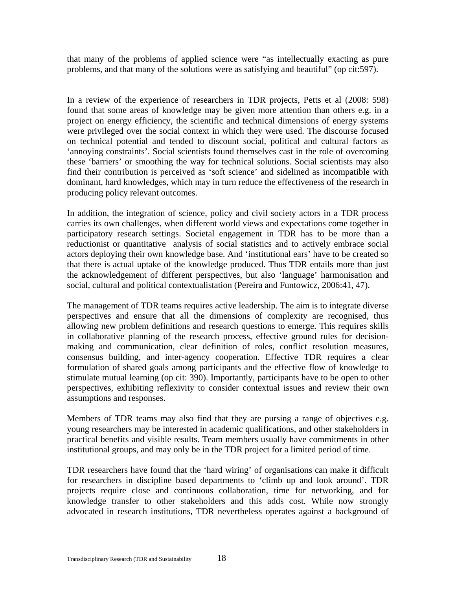that many of the problems of applied science were "as intellectually exacting as pure problems, and that many of the solutions were as satisfying and beautiful" (op cit:597).

In a review of the experience of researchers in TDR projects, Petts et al (2008: 598) found that some areas of knowledge may be given more attention than others e.g. in a project on energy efficiency, the scientific and technical dimensions of energy systems were privileged over the social context in which they were used. The discourse focused on technical potential and tended to discount social, political and cultural factors as 'annoying constraints'. Social scientists found themselves cast in the role of overcoming these 'barriers' or smoothing the way for technical solutions. Social scientists may also find their contribution is perceived as 'soft science' and sidelined as incompatible with dominant, hard knowledges, which may in turn reduce the effectiveness of the research in producing policy relevant outcomes.

In addition, the integration of science, policy and civil society actors in a TDR process carries its own challenges, when different world views and expectations come together in participatory research settings. Societal engagement in TDR has to be more than a reductionist or quantitative analysis of social statistics and to actively embrace social actors deploying their own knowledge base. And 'institutional ears' have to be created so that there is actual uptake of the knowledge produced. Thus TDR entails more than just the acknowledgement of different perspectives, but also 'language' harmonisation and social, cultural and political contextualistation (Pereira and Funtowicz, 2006:41, 47).

The management of TDR teams requires active leadership. The aim is to integrate diverse perspectives and ensure that all the dimensions of complexity are recognised, thus allowing new problem definitions and research questions to emerge. This requires skills in collaborative planning of the research process, effective ground rules for decisionmaking and communication, clear definition of roles, conflict resolution measures, consensus building, and inter-agency cooperation. Effective TDR requires a clear formulation of shared goals among participants and the effective flow of knowledge to stimulate mutual learning (op cit: 390). Importantly, participants have to be open to other perspectives, exhibiting reflexivity to consider contextual issues and review their own assumptions and responses.

Members of TDR teams may also find that they are pursing a range of objectives e.g. young researchers may be interested in academic qualifications, and other stakeholders in practical benefits and visible results. Team members usually have commitments in other institutional groups, and may only be in the TDR project for a limited period of time.

TDR researchers have found that the 'hard wiring' of organisations can make it difficult for researchers in discipline based departments to 'climb up and look around'. TDR projects require close and continuous collaboration, time for networking, and for knowledge transfer to other stakeholders and this adds cost. While now strongly advocated in research institutions, TDR nevertheless operates against a background of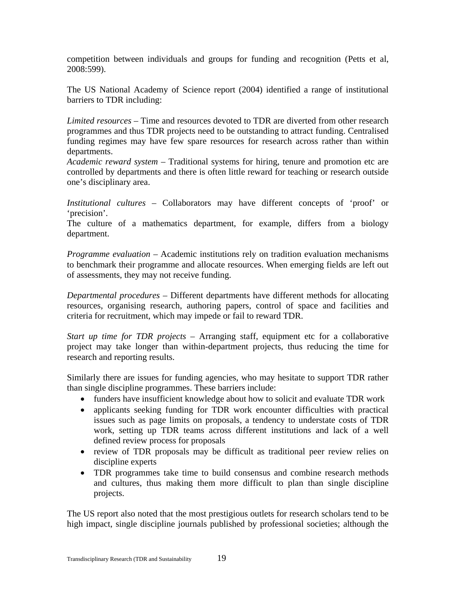competition between individuals and groups for funding and recognition (Petts et al, 2008:599).

The US National Academy of Science report (2004) identified a range of institutional barriers to TDR including:

*Limited resources* – Time and resources devoted to TDR are diverted from other research programmes and thus TDR projects need to be outstanding to attract funding. Centralised funding regimes may have few spare resources for research across rather than within departments.

*Academic reward system* – Traditional systems for hiring, tenure and promotion etc are controlled by departments and there is often little reward for teaching or research outside one's disciplinary area.

*Institutional cultures* – Collaborators may have different concepts of 'proof' or 'precision'.

The culture of a mathematics department, for example, differs from a biology department.

*Programme evaluation* – Academic institutions rely on tradition evaluation mechanisms to benchmark their programme and allocate resources. When emerging fields are left out of assessments, they may not receive funding.

*Departmental procedures* – Different departments have different methods for allocating resources, organising research, authoring papers, control of space and facilities and criteria for recruitment, which may impede or fail to reward TDR.

*Start up time for TDR projects* – Arranging staff, equipment etc for a collaborative project may take longer than within-department projects, thus reducing the time for research and reporting results.

Similarly there are issues for funding agencies, who may hesitate to support TDR rather than single discipline programmes. These barriers include:

- funders have insufficient knowledge about how to solicit and evaluate TDR work
- applicants seeking funding for TDR work encounter difficulties with practical issues such as page limits on proposals, a tendency to understate costs of TDR work, setting up TDR teams across different institutions and lack of a well defined review process for proposals
- review of TDR proposals may be difficult as traditional peer review relies on discipline experts
- TDR programmes take time to build consensus and combine research methods and cultures, thus making them more difficult to plan than single discipline projects.

The US report also noted that the most prestigious outlets for research scholars tend to be high impact, single discipline journals published by professional societies; although the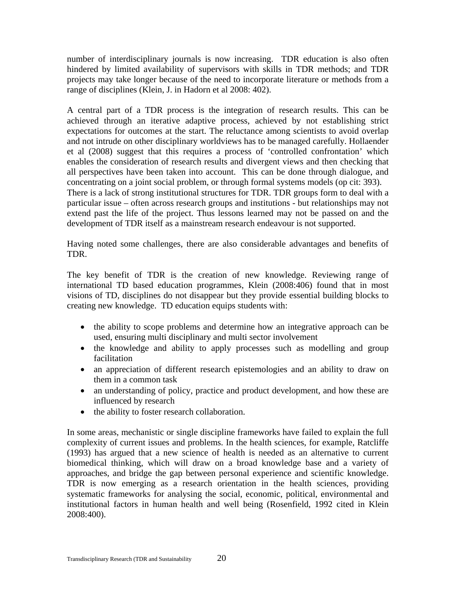number of interdisciplinary journals is now increasing. TDR education is also often hindered by limited availability of supervisors with skills in TDR methods; and TDR projects may take longer because of the need to incorporate literature or methods from a range of disciplines (Klein, J. in Hadorn et al 2008: 402).

A central part of a TDR process is the integration of research results. This can be achieved through an iterative adaptive process, achieved by not establishing strict expectations for outcomes at the start. The reluctance among scientists to avoid overlap and not intrude on other disciplinary worldviews has to be managed carefully. Hollaender et al (2008) suggest that this requires a process of 'controlled confrontation' which enables the consideration of research results and divergent views and then checking that all perspectives have been taken into account. This can be done through dialogue, and concentrating on a joint social problem, or through formal systems models (op cit: 393). There is a lack of strong institutional structures for TDR. TDR groups form to deal with a particular issue – often across research groups and institutions - but relationships may not extend past the life of the project. Thus lessons learned may not be passed on and the development of TDR itself as a mainstream research endeavour is not supported.

Having noted some challenges, there are also considerable advantages and benefits of TDR.

The key benefit of TDR is the creation of new knowledge. Reviewing range of international TD based education programmes, Klein (2008:406) found that in most visions of TD, disciplines do not disappear but they provide essential building blocks to creating new knowledge. TD education equips students with:

- the ability to scope problems and determine how an integrative approach can be used, ensuring multi disciplinary and multi sector involvement
- the knowledge and ability to apply processes such as modelling and group facilitation
- an appreciation of different research epistemologies and an ability to draw on them in a common task
- an understanding of policy, practice and product development, and how these are influenced by research
- the ability to foster research collaboration.

In some areas, mechanistic or single discipline frameworks have failed to explain the full complexity of current issues and problems. In the health sciences, for example, Ratcliffe (1993) has argued that a new science of health is needed as an alternative to current biomedical thinking, which will draw on a broad knowledge base and a variety of approaches, and bridge the gap between personal experience and scientific knowledge. TDR is now emerging as a research orientation in the health sciences, providing systematic frameworks for analysing the social, economic, political, environmental and institutional factors in human health and well being (Rosenfield, 1992 cited in Klein 2008:400).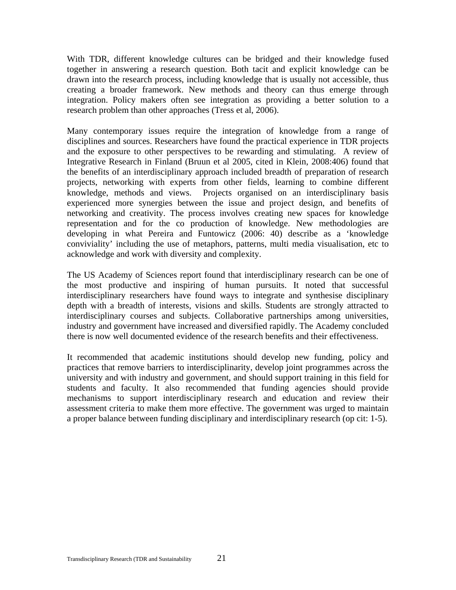With TDR, different knowledge cultures can be bridged and their knowledge fused together in answering a research question. Both tacit and explicit knowledge can be drawn into the research process, including knowledge that is usually not accessible, thus creating a broader framework. New methods and theory can thus emerge through integration. Policy makers often see integration as providing a better solution to a research problem than other approaches (Tress et al, 2006).

Many contemporary issues require the integration of knowledge from a range of disciplines and sources. Researchers have found the practical experience in TDR projects and the exposure to other perspectives to be rewarding and stimulating. A review of Integrative Research in Finland (Bruun et al 2005, cited in Klein, 2008:406) found that the benefits of an interdisciplinary approach included breadth of preparation of research projects, networking with experts from other fields, learning to combine different knowledge, methods and views. Projects organised on an interdisciplinary basis experienced more synergies between the issue and project design, and benefits of networking and creativity. The process involves creating new spaces for knowledge representation and for the co production of knowledge. New methodologies are developing in what Pereira and Funtowicz (2006: 40) describe as a 'knowledge conviviality' including the use of metaphors, patterns, multi media visualisation, etc to acknowledge and work with diversity and complexity.

The US Academy of Sciences report found that interdisciplinary research can be one of the most productive and inspiring of human pursuits. It noted that successful interdisciplinary researchers have found ways to integrate and synthesise disciplinary depth with a breadth of interests, visions and skills. Students are strongly attracted to interdisciplinary courses and subjects. Collaborative partnerships among universities, industry and government have increased and diversified rapidly. The Academy concluded there is now well documented evidence of the research benefits and their effectiveness.

It recommended that academic institutions should develop new funding, policy and practices that remove barriers to interdisciplinarity, develop joint programmes across the university and with industry and government, and should support training in this field for students and faculty. It also recommended that funding agencies should provide mechanisms to support interdisciplinary research and education and review their assessment criteria to make them more effective. The government was urged to maintain a proper balance between funding disciplinary and interdisciplinary research (op cit: 1-5).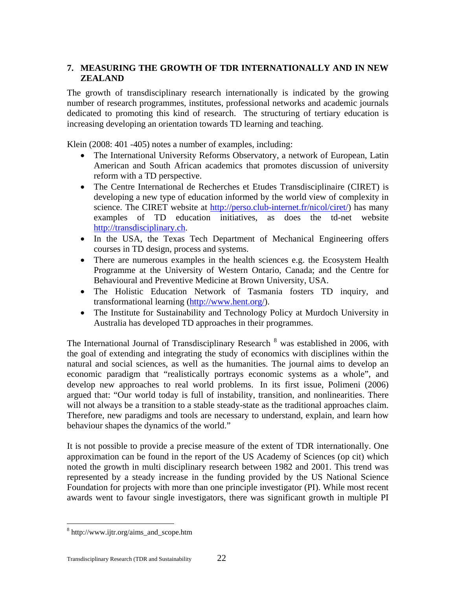# <span id="page-25-0"></span>**7. MEASURING THE GROWTH OF TDR INTERNATIONALLY AND IN NEW ZEALAND**

The growth of transdisciplinary research internationally is indicated by the growing number of research programmes, institutes, professional networks and academic journals dedicated to promoting this kind of research. The structuring of tertiary education is increasing developing an orientation towards TD learning and teaching.

Klein (2008: 401 -405) notes a number of examples, including:

- The International University Reforms Observatory, a network of European, Latin American and South African academics that promotes discussion of university reform with a TD perspective.
- The Centre International de Recherches et Etudes Transdisciplinaire (CIRET) is developing a new type of education informed by the world view of complexity in science. The CIRET website at [http://perso.club-internet.fr/nicol/ciret/\)](http://perso.club-internet.fr/nicol/ciret/) has many examples of TD education initiatives, as does the td-net website [http://transdisciplinary.ch.](http://transdisciplinary.ch/)
- In the USA, the Texas Tech Department of Mechanical Engineering offers courses in TD design, process and systems.
- There are numerous examples in the health sciences e.g. the Ecosystem Health Programme at the University of Western Ontario, Canada; and the Centre for Behavioural and Preventive Medicine at Brown University, USA.
- The Holistic Education Network of Tasmania fosters TD inquiry, and transformational learning (<http://www.hent.org/>).
- The Institute for Sustainability and Technology Policy at Murdoch University in Australia has developed TD approaches in their programmes.

The International Journal of Transdisciplinary Research <sup>[8](#page-25-1)</sup> was established in 2006, with the goal of extending and integrating the study of economics with disciplines within the natural and social sciences, as well as the humanities. The journal aims to develop an economic paradigm that "realistically portrays economic systems as a whole", and develop new approaches to real world problems. In its first issue, Polimeni (2006) argued that: "Our world today is full of instability, transition, and nonlinearities. There will not always be a transition to a stable steady-state as the traditional approaches claim. Therefore, new paradigms and tools are necessary to understand, explain, and learn how behaviour shapes the dynamics of the world."

It is not possible to provide a precise measure of the extent of TDR internationally. One approximation can be found in the report of the US Academy of Sciences (op cit) which noted the growth in multi disciplinary research between 1982 and 2001. This trend was represented by a steady increase in the funding provided by the US National Science Foundation for projects with more than one principle investigator (PI). While most recent awards went to favour single investigators, there was significant growth in multiple PI

<span id="page-25-1"></span><sup>8</sup> http://www.ijtr.org/aims\_and\_scope.htm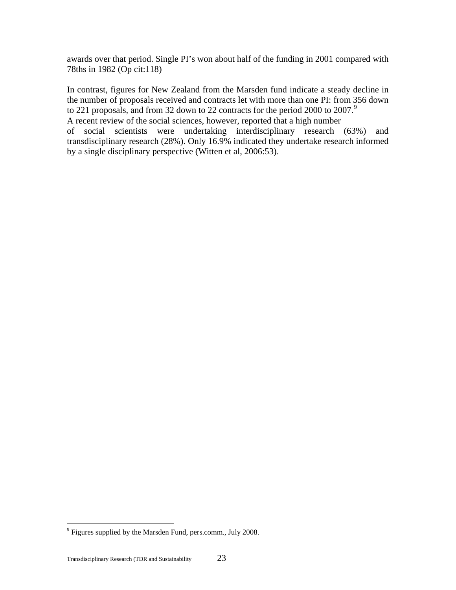awards over that period. Single PI's won about half of the funding in 2001 compared with 78ths in 1982 (Op cit:118)

In contrast, figures for New Zealand from the Marsden fund indicate a steady decline in the number of proposals received and contracts let with more than one PI: from 356 down to 221 proposals, and from 32 down to 22 contracts for the period 2000 to 2007.<sup>[9](#page-26-0)</sup> A recent review of the social sciences, however, reported that a high number of social scientists were undertaking interdisciplinary research (63%) and transdisciplinary research (28%). Only 16.9% indicated they undertake research informed by a single disciplinary perspective (Witten et al, 2006:53).

<u>.</u>

<span id="page-26-0"></span> $9^9$  Figures supplied by the Marsden Fund, pers.comm., July 2008.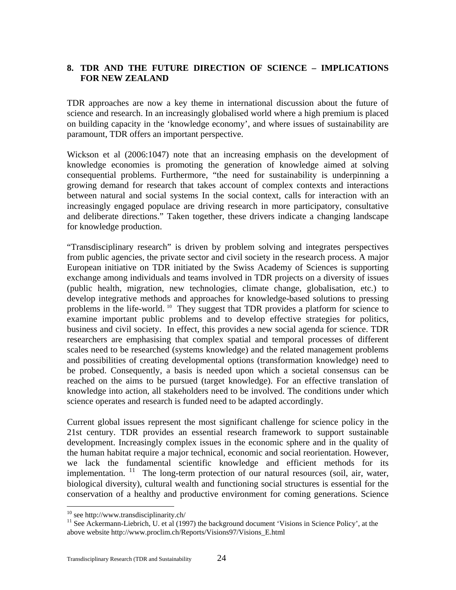### <span id="page-27-0"></span>**8. TDR AND THE FUTURE DIRECTION OF SCIENCE – IMPLICATIONS FOR NEW ZEALAND**

TDR approaches are now a key theme in international discussion about the future of science and research. In an increasingly globalised world where a high premium is placed on building capacity in the 'knowledge economy', and where issues of sustainability are paramount, TDR offers an important perspective.

Wickson et al (2006:1047) note that an increasing emphasis on the development of knowledge economies is promoting the generation of knowledge aimed at solving consequential problems. Furthermore, "the need for sustainability is underpinning a growing demand for research that takes account of complex contexts and interactions between natural and social systems In the social context, calls for interaction with an increasingly engaged populace are driving research in more participatory, consultative and deliberate directions." Taken together, these drivers indicate a changing landscape for knowledge production.

"Transdisciplinary research" is driven by problem solving and integrates perspectives from public agencies, the private sector and civil society in the research process. A major European initiative on TDR initiated by the Swiss Academy of Sciences is supporting exchange among individuals and teams involved in TDR projects on a diversity of issues (public health, migration, new technologies, climate change, globalisation, etc.) to develop integrative methods and approaches for knowledge-based solutions to pressing problems in the life-world. [10](#page-27-1) They suggest that TDR provides a platform for science to examine important public problems and to develop effective strategies for politics, business and civil society. In effect, this provides a new social agenda for science. TDR researchers are emphasising that complex spatial and temporal processes of different scales need to be researched (systems knowledge) and the related management problems and possibilities of creating developmental options (transformation knowledge) need to be probed. Consequently, a basis is needed upon which a societal consensus can be reached on the aims to be pursued (target knowledge). For an effective translation of knowledge into action, all stakeholders need to be involved. The conditions under which science operates and research is funded need to be adapted accordingly.

Current global issues represent the most significant challenge for science policy in the 21st century. TDR provides an essential research framework to support sustainable development. Increasingly complex issues in the economic sphere and in the quality of the human habitat require a major technical, economic and social reorientation. However, we lack the fundamental scientific knowledge and efficient methods for its implementation. <sup>[11](#page-27-2)</sup> The long-term protection of our natural resources (soil, air, water, biological diversity), cultural wealth and functioning social structures is essential for the conservation of a healthy and productive environment for coming generations. Science

 $10$  see http://www.transdisciplinarity.ch/

<span id="page-27-2"></span><span id="page-27-1"></span><sup>&</sup>lt;sup>11</sup> See Ackermann-Liebrich, U. et al (1997) the background document 'Visions in Science Policy', at the above website http://www.proclim.ch/Reports/Visions97/Visions\_E.html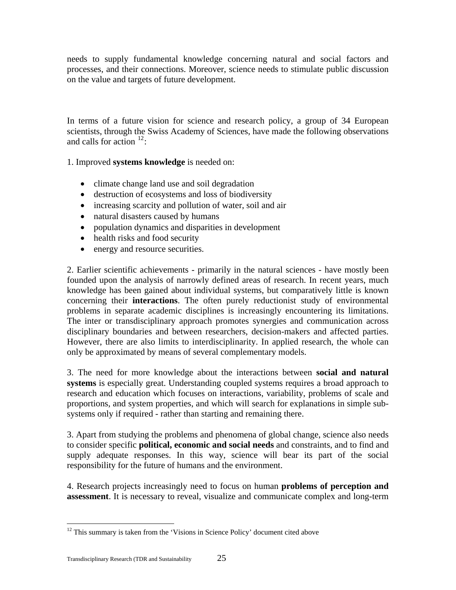needs to supply fundamental knowledge concerning natural and social factors and processes, and their connections. Moreover, science needs to stimulate public discussion on the value and targets of future development.

In terms of a future vision for science and research policy, a group of 34 European scientists, through the Swiss Academy of Sciences, have made the following observations and calls for action  $12$ :

1. Improved **systems knowledge** is needed on:

- climate change land use and soil degradation
- destruction of ecosystems and loss of biodiversity
- increasing scarcity and pollution of water, soil and air
- natural disasters caused by humans
- population dynamics and disparities in development
- health risks and food security
- energy and resource securities.

2. Earlier scientific achievements - primarily in the natural sciences - have mostly been founded upon the analysis of narrowly defined areas of research. In recent years, much knowledge has been gained about individual systems, but comparatively little is known concerning their **interactions**. The often purely reductionist study of environmental problems in separate academic disciplines is increasingly encountering its limitations. The inter or transdisciplinary approach promotes synergies and communication across disciplinary boundaries and between researchers, decision-makers and affected parties. However, there are also limits to interdisciplinarity. In applied research, the whole can only be approximated by means of several complementary models.

3. The need for more knowledge about the interactions between **social and natural systems** is especially great. Understanding coupled systems requires a broad approach to research and education which focuses on interactions, variability, problems of scale and proportions, and system properties, and which will search for explanations in simple subsystems only if required - rather than starting and remaining there.

3. Apart from studying the problems and phenomena of global change, science also needs to consider specific **political, economic and social needs** and constraints, and to find and supply adequate responses. In this way, science will bear its part of the social responsibility for the future of humans and the environment.

4. Research projects increasingly need to focus on human **problems of perception and assessment**. It is necessary to reveal, visualize and communicate complex and long-term

<span id="page-28-0"></span><sup>&</sup>lt;sup>12</sup> This summary is taken from the 'Visions in Science Policy' document cited above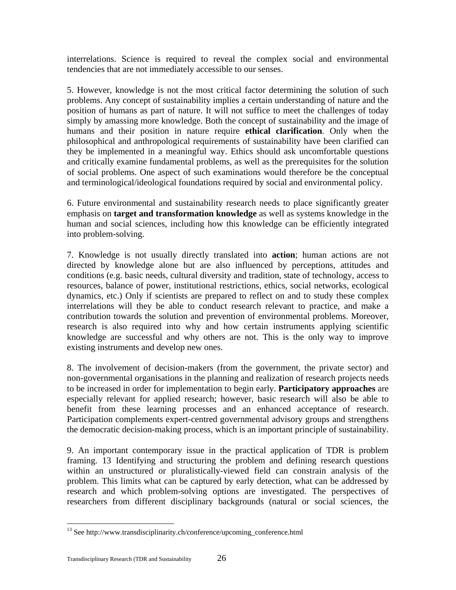interrelations. Science is required to reveal the complex social and environmental tendencies that are not immediately accessible to our senses.

5. However, knowledge is not the most critical factor determining the solution of such problems. Any concept of sustainability implies a certain understanding of nature and the position of humans as part of nature. It will not suffice to meet the challenges of today simply by amassing more knowledge. Both the concept of sustainability and the image of humans and their position in nature require **ethical clarification**. Only when the philosophical and anthropological requirements of sustainability have been clarified can they be implemented in a meaningful way. Ethics should ask uncomfortable questions and critically examine fundamental problems, as well as the prerequisites for the solution of social problems. One aspect of such examinations would therefore be the conceptual and terminological/ideological foundations required by social and environmental policy.

6. Future environmental and sustainability research needs to place significantly greater emphasis on **target and transformation knowledge** as well as systems knowledge in the human and social sciences, including how this knowledge can be efficiently integrated into problem-solving.

7. Knowledge is not usually directly translated into **action**; human actions are not directed by knowledge alone but are also influenced by perceptions, attitudes and conditions (e.g. basic needs, cultural diversity and tradition, state of technology, access to resources, balance of power, institutional restrictions, ethics, social networks, ecological dynamics, etc.) Only if scientists are prepared to reflect on and to study these complex interrelations will they be able to conduct research relevant to practice, and make a contribution towards the solution and prevention of environmental problems. Moreover, research is also required into why and how certain instruments applying scientific knowledge are successful and why others are not. This is the only way to improve existing instruments and develop new ones.

8. The involvement of decision-makers (from the government, the private sector) and non-governmental organisations in the planning and realization of research projects needs to be increased in order for implementation to begin early. **Participatory approaches** are especially relevant for applied research; however, basic research will also be able to benefit from these learning processes and an enhanced acceptance of research. Participation complements expert-centred governmental advisory groups and strengthens the democratic decision-making process, which is an important principle of sustainability.

9. An important contemporary issue in the practical application of TDR is problem framing. [13](#page-29-0) Identifying and structuring the problem and defining research questions within an unstructured or pluralistically-viewed field can constrain analysis of the problem. This limits what can be captured by early detection, what can be addressed by research and which problem-solving options are investigated. The perspectives of researchers from different disciplinary backgrounds (natural or social sciences, the

<span id="page-29-0"></span><sup>&</sup>lt;sup>13</sup> See http://www.transdisciplinarity.ch/conference/upcoming\_conference.html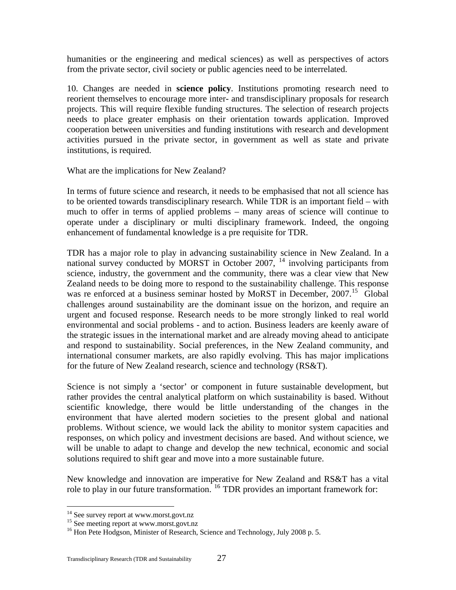humanities or the engineering and medical sciences) as well as perspectives of actors from the private sector, civil society or public agencies need to be interrelated.

10. Changes are needed in **science policy**. Institutions promoting research need to reorient themselves to encourage more inter- and transdisciplinary proposals for research projects. This will require flexible funding structures. The selection of research projects needs to place greater emphasis on their orientation towards application. Improved cooperation between universities and funding institutions with research and development activities pursued in the private sector, in government as well as state and private institutions, is required.

What are the implications for New Zealand?

In terms of future science and research, it needs to be emphasised that not all science has to be oriented towards transdisciplinary research. While TDR is an important field – with much to offer in terms of applied problems – many areas of science will continue to operate under a disciplinary or multi disciplinary framework. Indeed, the ongoing enhancement of fundamental knowledge is a pre requisite for TDR.

TDR has a major role to play in advancing sustainability science in New Zealand. In a national survey conducted by MORST in October 2007, <sup>[14](#page-30-0)</sup> involving participants from science, industry, the government and the community, there was a clear view that New Zealand needs to be doing more to respond to the sustainability challenge. This response was re enforced at a business seminar hosted by MoRST in December, 2007.<sup>[15](#page-30-1)</sup> Global challenges around sustainability are the dominant issue on the horizon, and require an urgent and focused response. Research needs to be more strongly linked to real world environmental and social problems - and to action. Business leaders are keenly aware of the strategic issues in the international market and are already moving ahead to anticipate and respond to sustainability. Social preferences, in the New Zealand community, and international consumer markets, are also rapidly evolving. This has major implications for the future of New Zealand research, science and technology (RS&T).

Science is not simply a 'sector' or component in future sustainable development, but rather provides the central analytical platform on which sustainability is based. Without scientific knowledge, there would be little understanding of the changes in the environment that have alerted modern societies to the present global and national problems. Without science, we would lack the ability to monitor system capacities and responses, on which policy and investment decisions are based. And without science, we will be unable to adapt to change and develop the new technical, economic and social solutions required to shift gear and move into a more sustainable future.

New knowledge and innovation are imperative for New Zealand and RS&T has a vital role to play in our future transformation. <sup>[16](#page-30-2)</sup> TDR provides an important framework for:

<span id="page-30-0"></span><sup>&</sup>lt;sup>14</sup> See survey report at www.morst.govt.nz<br><sup>15</sup> See meeting report at www.morst.govt.nz

<span id="page-30-2"></span><span id="page-30-1"></span><sup>&</sup>lt;sup>16</sup> Hon Pete Hodgson, Minister of Research, Science and Technology, July 2008 p. 5.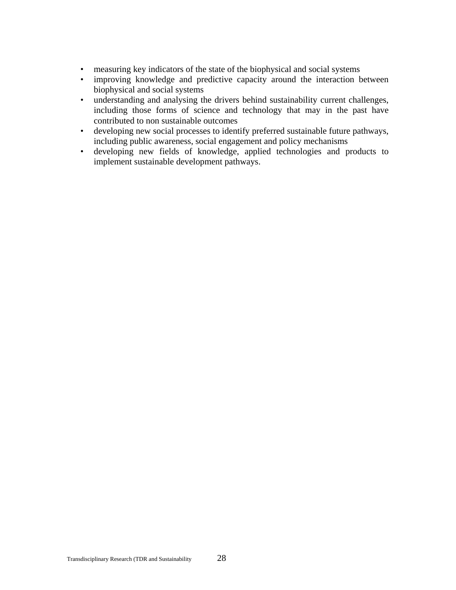- measuring key indicators of the state of the biophysical and social systems
- improving knowledge and predictive capacity around the interaction between biophysical and social systems
- understanding and analysing the drivers behind sustainability current challenges, including those forms of science and technology that may in the past have contributed to non sustainable outcomes
- developing new social processes to identify preferred sustainable future pathways, including public awareness, social engagement and policy mechanisms
- developing new fields of knowledge, applied technologies and products to implement sustainable development pathways.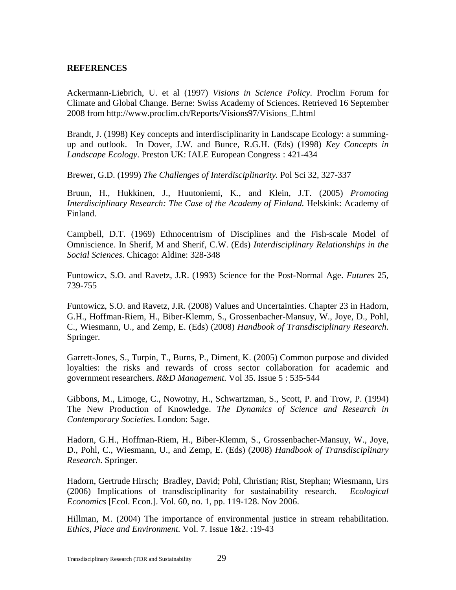### <span id="page-32-0"></span>**REFERENCES**

Ackermann-Liebrich, U. et al (1997) *Visions in Science Policy*. Proclim Forum for Climate and Global Change. Berne: Swiss Academy of Sciences. Retrieved 16 September 2008 from http://www.proclim.ch/Reports/Visions97/Visions\_E.html

Brandt, J. (1998) Key concepts and interdisciplinarity in Landscape Ecology: a summingup and outlook. In Dover, J.W. and Bunce, R.G.H. (Eds) (1998) *Key Concepts in Landscape Ecology*. Preston UK: IALE European Congress : 421-434

Brewer, G.D. (1999) *The Challenges of Interdisciplinarity.* Pol Sci 32, 327-337

Bruun, H., Hukkinen, J., Huutoniemi, K., and Klein, J.T. (2005) *Promoting Interdisciplinary Research: The Case of the Academy of Finland.* Helskink: Academy of Finland.

Campbell, D.T. (1969) Ethnocentrism of Disciplines and the Fish-scale Model of Omniscience. In Sherif, M and Sherif, C.W. (Eds) *Interdisciplinary Relationships in the Social Sciences*. Chicago: Aldine: 328-348

Funtowicz, S.O. and Ravetz, J.R. (1993) Science for the Post-Normal Age. *Futures* 25, 739-755

Funtowicz, S.O. and Ravetz, J.R. (2008) Values and Uncertainties. Chapter 23 in Hadorn, G.H., Hoffman-Riem, H., Biber-Klemm, S., Grossenbacher-Mansuy, W., Joye, D., Pohl, C., Wiesmann, U., and Zemp, E. (Eds) (2008) *Handbook of Transdisciplinary Research*. Springer.

Garrett-Jones, S., Turpin, T., Burns, P., Diment, K. (2005) Common purpose and divided loyalties: the risks and rewards of cross sector collaboration for academic and government researchers. *R&D Management.* Vol 35. Issue 5 : 535-544

Gibbons, M., Limoge, C., Nowotny, H., Schwartzman, S., Scott, P. and Trow, P. (1994) The New Production of Knowledge. *The Dynamics of Science and Research in Contemporary Societies.* London: Sage.

Hadorn, G.H., Hoffman-Riem, H., Biber-Klemm, S., Grossenbacher-Mansuy, W., Joye, D., Pohl, C., Wiesmann, U., and Zemp, E. (Eds) (2008) *Handbook of Transdisciplinary Research*. Springer.

Hadorn, Gertrude Hirsch; Bradley, David; Pohl, Christian; Rist, Stephan; Wiesmann, Urs (2006) Implications of transdisciplinarity for sustainability research. *Ecological Economics* [Ecol. Econ.]. Vol. 60, no. 1, pp. 119-128. Nov 2006.

Hillman, M. (2004) The importance of environmental justice in stream rehabilitation. *Ethics, Place and Environment.* Vol. 7. Issue 1&2. :19-43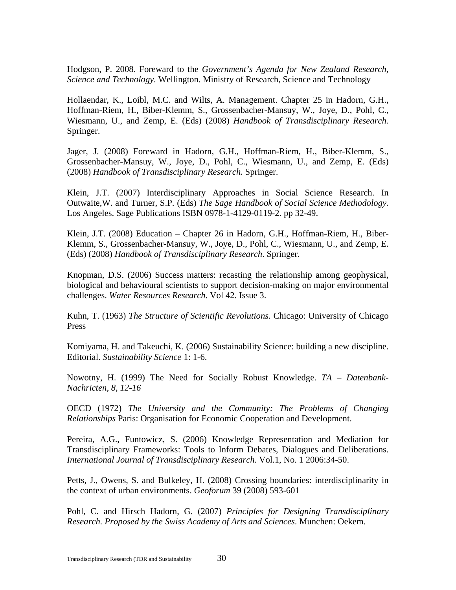Hodgson, P. 2008. Foreward to the *Government's Agenda for New Zealand Research, Science and Technology.* Wellington. Ministry of Research, Science and Technology

Hollaendar, K., Loibl, M.C. and Wilts, A. Management. Chapter 25 in Hadorn, G.H., Hoffman-Riem, H., Biber-Klemm, S., Grossenbacher-Mansuy, W., Joye, D., Pohl, C., Wiesmann, U., and Zemp, E. (Eds) (2008) *Handbook of Transdisciplinary Research.* Springer.

Jager, J. (2008) Foreward in Hadorn, G.H., Hoffman-Riem, H., Biber-Klemm, S., Grossenbacher-Mansuy, W., Joye, D., Pohl, C., Wiesmann, U., and Zemp, E. (Eds) (2008) *Handbook of Transdisciplinary Research.* Springer.

Klein, J.T. (2007) Interdisciplinary Approaches in Social Science Research. In Outwaite,W. and Turner, S.P. (Eds) *The Sage Handbook of Social Science Methodology.* Los Angeles. Sage Publications ISBN 0978-1-4129-0119-2. pp 32-49.

Klein, J.T. (2008) Education – Chapter 26 in Hadorn, G.H., Hoffman-Riem, H., Biber-Klemm, S., Grossenbacher-Mansuy, W., Joye, D., Pohl, C., Wiesmann, U., and Zemp, E. (Eds) (2008) *Handbook of Transdisciplinary Research*. Springer.

Knopman, D.S. (2006) Success matters: recasting the relationship among geophysical, biological and behavioural scientists to support decision-making on major environmental challenges. *Water Resources Research*. Vol 42. Issue 3.

Kuhn, T. (1963) *The Structure of Scientific Revolutions.* Chicago: University of Chicago Press

Komiyama, H. and Takeuchi, K. (2006) Sustainability Science: building a new discipline. Editorial. *Sustainability Science* 1: 1-6.

Nowotny, H. (1999) The Need for Socially Robust Knowledge. *TA – Datenbank-Nachricten, 8, 12-16* 

OECD (1972) *The University and the Community: The Problems of Changing Relationships* Paris: Organisation for Economic Cooperation and Development.

Pereira, A.G., Funtowicz, S. (2006) Knowledge Representation and Mediation for Transdisciplinary Frameworks: Tools to Inform Debates, Dialogues and Deliberations. *International Journal of Transdisciplinary Research*. Vol.1, No. 1 2006:34-50.

Petts, J., Owens, S. and Bulkeley, H. (2008) Crossing boundaries: interdisciplinarity in the context of urban environments. *Geoforum* 39 (2008) 593-601

Pohl, C. and Hirsch Hadorn, G. (2007) *Principles for Designing Transdisciplinary Research. Proposed by the Swiss Academy of Arts and Sciences*. Munchen: Oekem.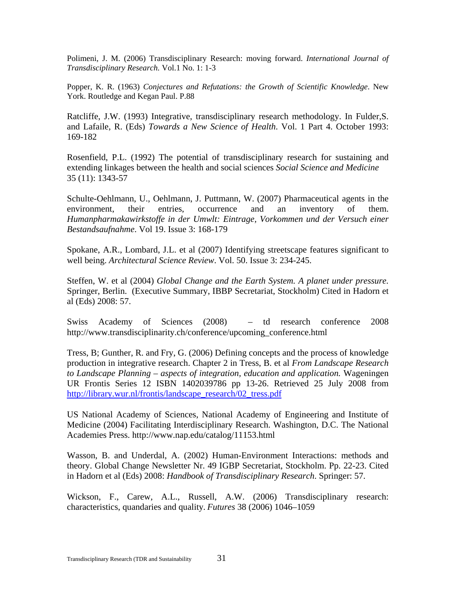Polimeni, J. M. (2006) Transdisciplinary Research: moving forward. *International Journal of Transdisciplinary Research.* Vol.1 No. 1: 1-3

Popper, K. R. (1963) *Conjectures and Refutations: the Growth of Scientific Knowledge*. New York. Routledge and Kegan Paul. P.88

Ratcliffe, J.W. (1993) Integrative, transdisciplinary research methodology. In Fulder,S. and Lafaile, R. (Eds) *Towards a New Science of Health*. Vol. 1 Part 4. October 1993: 169-182

Rosenfield, P.L. (1992) The potential of transdisciplinary research for sustaining and extending linkages between the health and social sciences *Social Science and Medicine*  35 (11): 1343-57

Schulte-Oehlmann, U., Oehlmann, J. Puttmann, W. (2007) Pharmaceutical agents in the environment, their entries, occurrence and an inventory of them. *Humanpharmakawirkstoffe in der Umwlt: Eintrage, Vorkommen und der Versuch einer Bestandsaufnahme*. Vol 19. Issue 3: 168-179

Spokane, A.R., Lombard, J.L. et al (2007) Identifying streetscape features significant to well being. *Architectural Science Review*. Vol. 50. Issue 3: 234-245.

Steffen, W. et al (2004) *Global Change and the Earth System. A planet under pressure.* Springer, Berlin. (Executive Summary, IBBP Secretariat, Stockholm) Cited in Hadorn et al (Eds) 2008: 57.

Swiss Academy of Sciences (2008) – td research conference 2008 http://www.transdisciplinarity.ch/conference/upcoming\_conference.html

Tress, B; Gunther, R. and Fry, G. (2006) Defining concepts and the process of knowledge production in integrative research. Chapter 2 in Tress, B. et al *From Landscape Research to Landscape Planning – aspects of integration, education and application.* Wageningen UR Frontis Series 12 ISBN 1402039786 pp 13-26. Retrieved 25 July 2008 from [http://library.wur.nl/frontis/landscape\\_research/02\\_tress.pdf](http://library.wur.nl/frontis/landscape_research/02_tress.pdf)

US National Academy of Sciences, National Academy of Engineering and Institute of Medicine (2004) Facilitating Interdisciplinary Research. Washington, D.C. The National Academies Press. http://www.nap.edu/catalog/11153.html

Wasson, B. and Underdal, A. (2002) Human-Environment Interactions: methods and theory. Global Change Newsletter Nr. 49 IGBP Secretariat, Stockholm. Pp. 22-23. Cited in Hadorn et al (Eds) 2008: *Handbook of Transdisciplinary Research*. Springer: 57.

Wickson, F., Carew, A.L., Russell, A.W. (2006) Transdisciplinary research: characteristics, quandaries and quality*. Futures* 38 (2006) 1046–1059